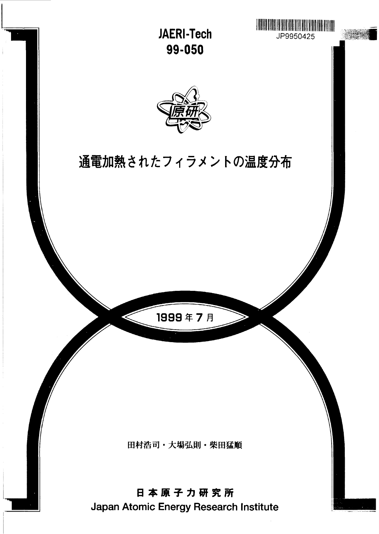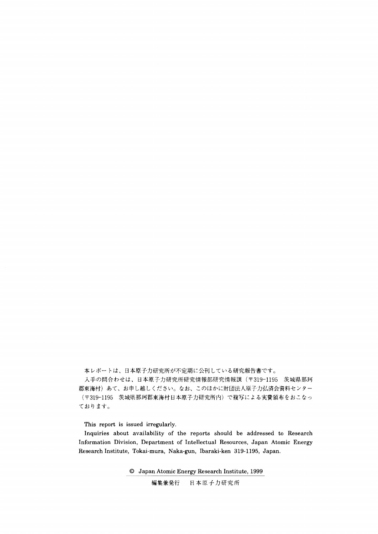本レポートは、日本原子力研究所が不定期に公刊している研究報告書です。

入手の問合わせは、日本原子力研究所研究情報部研究情報課 (〒319-1195 茨城県那珂 郡東海村)あて、お申し越しください。なお、このほかに財団法人原子力弘済会資料センター (〒319-1195 茨城県那珂郡東海村日本原子力研究所内)で複写による実費頒布をおこなっ ております。

This report is issued irregularly.

Inquiries about availability of the reports should be addressed to Research Information Division, Department of Intellectual Resources, Japan Atomic Energy Research Institute, Tokai-mura, Naka-gun, Ibaraki-ken 319-1195, Japan.

© Japan Atomic Energy Research Institute, 1999

日本原子力研究所 編集兼発行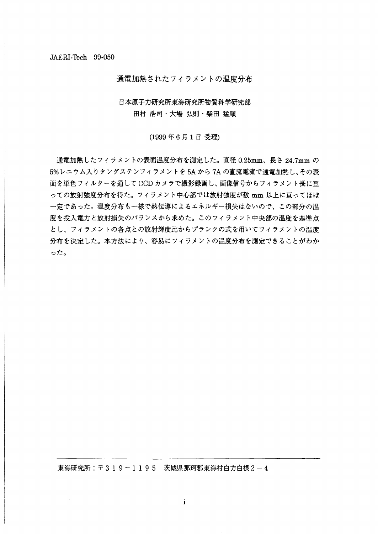通電加熱されたフィラメントの温度分布

## 日本原子力研究所東海研究所物質科学研究部 田村 浩司・大場 弘則・柴田 猛順

(1999年6月1日受理)

通電加熱したフィラメントの表面温度分布を測定した。直径 0.25mm、長さ 24.7mm の 5%レニウム入りタングステンフィラメントを5Aから7Aの直流電流で通電加熱し、その表 面を単色フィルターを通してCCD カメラで撮影録画し、画像信号からフィラメント長に亘 っての放射強度分布を得た。フィラメント中心部では放射強度が数 mm 以上に亘ってほぼ 一定であった。温度分布も一様で熱伝導によるエネルギー損失はないので、この部分の温 度を投入電力と放射損失のバランスから求めた。このフィラメント中央部の温度を基準点 とし、フィラメントの各点との放射輝度比からプランクの式を用いてフィラメントの温度 分布を決定した。本方法により、容易にフィラメントの温度分布を測定できることがわか った。

東海研究所: 〒319-1195 茨城県那珂郡東海村白方白根2-4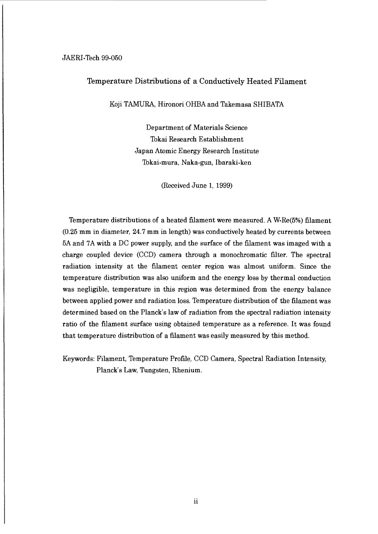#### JAERI-Tech 99-050

## Temperature Distributions of a Conductively Heated Filament

Koji TAMURA, Hironori OHBA and Takemasa SHIBATA

Department of Materials Science Tokai Research Establishment Japan Atomic Energy Research Institute Tokai-mura, Naka-gun, Ibaraki-ken

(Received June 1, 1999)

Temperature distributions of a heated filament were measured. A W-Re(5%) filament (0.25 mm in diameter, 24.7 mm in length) was conductively heated by currents between 5A and 7A with a DC power supply, and the surface of the filament was imaged with a charge coupled device (CCD) camera through a monochromatic filter. The spectral radiation intensity at the filament center region was almost uniform. Since the temperature distribution was also uniform and the energy loss by thermal conduction was negligible, temperature in this region was determined from the energy balance between applied power and radiation loss. Temperature distribution of the filament was determined based on the Planck's law of radiation from the spectral radiation intensity ratio of the filament surface using obtained temperature as a reference. It was found that temperature distribution of a filament was easily measured by this method.

Keywords: Filament, Temperature Profile, CCD Camera, Spectral Radiation Intensity, Planck's Law, Tungsten, Rhenium.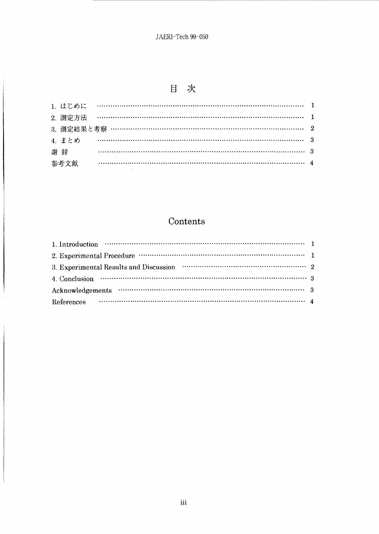# 目 次

|      | 2. 測定方法 ……………………………………………………………………………………… 1 |  |
|------|---------------------------------------------|--|
|      |                                             |  |
|      |                                             |  |
| 謝辞   |                                             |  |
| 参考文献 |                                             |  |

# Contents

| 1. Introduction $\cdots$ $\cdots$ $\cdots$ $\cdots$ $\cdots$ $\cdots$ $\cdots$ $\cdots$ $\cdots$ $\cdots$ $\cdots$ $\cdots$ $\cdots$ $\cdots$ $\cdots$ |  |
|--------------------------------------------------------------------------------------------------------------------------------------------------------|--|
|                                                                                                                                                        |  |
|                                                                                                                                                        |  |
| 4. Conclusion $\cdots$ $\cdots$ $\cdots$ $\cdots$ $\cdots$ $\cdots$ $\cdots$ $\cdots$ $\cdots$ $\cdots$ $\cdots$ $\cdots$ $\cdots$ $\cdots$ 3          |  |
|                                                                                                                                                        |  |
| References $\cdots$ $\cdots$ $\cdots$ $\cdots$ $\cdots$ $\cdots$ $\cdots$ $\cdots$ $\cdots$ $\cdots$ $\cdots$ $\cdots$ $\cdots$ $\cdots$ $\cdots$      |  |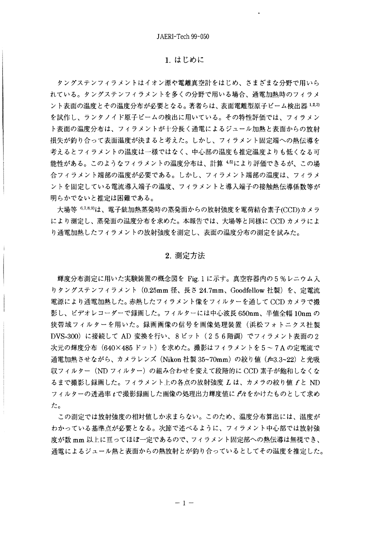#### 1. はじめに

タングステンフィラメントはイオン源や電離真空計をはじめ、さまざまな分野で用いら れている。タングステンフィラメントを多くの分野で用いる場合、通電加熱時のフィラメ ント表面の温度とその温度分布が必要となる。著者らは、表面電離型原子ビーム検出器1,2,3) を試作し、ランタノイド原子ビームの検出に用いている。その特性評価では、フィラメン ト表面の温度分布は、フィラメントが十分長く通電によるジュール加熱と表面からの放射 損失が釣り合って表面温度が決まると考えた。しかし、フィラメント固定端への熱伝導を 考えるとフィラメントの温度は一様ではなく、中心部の温度も推定温度よりも低くなる可 能性がある。このようなフィラメントの温度分布は、計算 45により評価できるが、この場 合フィラメント端部の温度が必要である。しかし、フィラメント端部の温度は、フィラメ ントを固定している電流導入端子の温度、フィラメントと導入端子の接触熱伝導係数等が 明らかでないと推定は困難である。

大場等<sup>6,7,8,9)は、電子銃加熱蒸発時の蒸発面からの放射強度を電荷結合素子(CCD)カメラ</sup> により測定し、蒸発面の温度分布を求めた。本報告では、大場等と同様に CCD カメラによ り通電加熱したフィラメントの放射強度を測定し、表面の温度分布の測定を試みた。

#### 2. 測定方法

輝度分布測定に用いた実験装置の概念図を Fig.1 に示す。真空容器内の5%レニウム入 りタングステンフィラメント(0.25mm 径、長さ 24.7mm、Goodfellow 社製)を、定電流 電源により通電加熱した。赤熱したフィラメント像をフィルターを通して CCD カメラで撮 影し、ビデオレコーダーで録画した。フィルターには中心波長 650nm、半値全幅 10nm の 狭帯域フィルターを用いた。録画画像の信号を画像処理装置(浜松フォトニクス社製 DVS-300)に接続して AD 変換を行い、8ビット(256階調)でフィラメント表面の2 次元の輝度分布(640×485 ドット)を求めた。撮影はフィラメントを5~7A の定電流で 通電加熱させながら、カメラレンズ (Nikon 社製 35~70mm) の絞り値 (£3.3~22) と光吸 収フィルター (ND フィルター) の組み合わせを変えて段階的に CCD 素子が飽和しなくな るまで撮影し録画した。フィラメント上の各点の放射強度 L は、カメラの絞り値 f と ND フィルターの透過率 tで撮影録画した画像の処理出力輝度値に ftをかけたものとして求め た。

この測定では放射強度の相対値しか求まらない。このため、温度分布算出には、温度が わかっている基準点が必要となる。次節で述べるように、フィラメント中心部では放射強 度が数 mm 以上に亘ってほぼ一定であるので、フィラメント固定部への熱伝導は無視でき、 通電によるジュール熱と表面からの熱放射とが釣り合っているとしてその温度を推定した。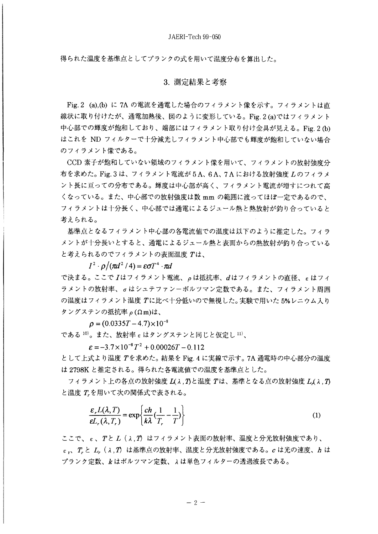得られた温度を基準点としてプランクの式を用いて温度分布を算出した。

### 3. 測定結果と考察

Fig. 2 (a), (b) に 7A の電流を通電した場合のフィラメント像を示す。フィラメントは直 線状に取り付けたが、通電加熱後、図のように変形している。Fig. 2 (a)ではフィラメント 中心部での輝度が飽和しており、端部にはフィラメント取り付け金具が見える。Fig 2 (h) はこれを ND フィルターで十分減光しフィラメント中心部でも輝度が飽和していない場合 のフィラメント像である。

CCD 素子が飽和していない領域のフィラメント像を用いて、フィラメントの放射強度分 布を求めた。Fig. 3 は、フィラメント電流が 5 A、6 A、7 A における放射強度 Lのフィラメ ント長に亘っての分布である。輝度は中心部が高く、フィラメント電流が増すにつれて高 くなっている。また、中心部での放射強度は数 mm の範囲に渡ってほぼ一定であるので、 フィラメントは十分長く、中心部では通電によるジュール熱と熱放射が釣り合っていると 考えられる。

基準点となるフィラメント中心部の各電流値での温度は以下のように推定した。フィラ メントが十分長いとすると、通電によるジュール熱と表面からの熱放射が釣り合っている と考えられるのでフィラメントの表面温度 Tは、

 $I^2 \cdot \rho/(\pi d^2/4) = \epsilon \sigma T^4 \cdot \pi d$ 

で決まる。ここでIはフィラメント電流、ρは抵抗率、dはフィラメントの直径、εはフィ ラメントの放射率、oはシュテファンーボルツマン定数である。また、フィラメント周囲 の温度はフィラメント温度 Tに比べ十分低いので無視した。実験で用いた 5%レニウム入り タングステンの抵抗率 ρ(Ωm)は、

 $\rho = (0.0335T - 4.7) \times 10^{-8}$ 

である<sup>10)</sup>。また、放射率 ε はタングステンと同じと仮定し<sup>11)</sup>、

 $\epsilon = -3.7 \times 10^{-8} T^2 + 0.00026T - 0.112$ 

として上式より温度 Tを求めた。 結果を Fig. 4 に実線で示す。 7A 通電時の中心部分の温度 は 2798K と推定される。得られた各電流値での温度を基準点とした。

フィラメント上の各点の放射強度  $L(\lambda, T)$ と温度 Tは、基準となる点の放射強度 L( $\lambda, T$ ) と温度 T<sub>r</sub>を用いて次の関係式で表される。

$$
\frac{\varepsilon_r L(\lambda, T)}{\varepsilon L_r(\lambda, T_r)} = \exp\left\{\frac{ch}{k\lambda}(\frac{1}{T_r} - \frac{1}{T})\right\}
$$
(1)

ここで、ε、Τと L(λ,Τ)はフィラメント表面の放射率、温度と分光放射強度であり、  $\varepsilon$ , T. と L. (  $\lambda$ , T) は基準点の放射率、温度と分光放射強度である。c は光の速度、h は プランク定数、kはボルツマン定数、λは単色フィルターの透過波長である。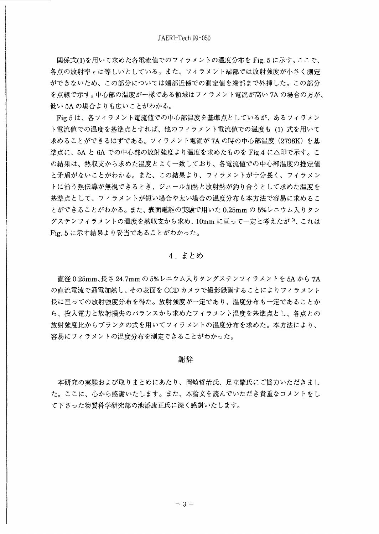関係式(1)を用いて求めた各電流値でのフィラメントの温度分布を Fig. 5 に示す。ここで、 各点の放射率とは等しいとしている。また、フィラメント端部では放射強度が小さく測定 ができないため、この部分については端部近傍での測定値を端部まで外挿した。この部分 を点線で示す。中心部の温度が一様である領域はフィラメント電流が高い 7A の場合の方が、 低い 5A の場合よりも広いことがわかる。

Fig.5 は、各フィラメント電流値での中心部温度を基準点としているが、あるフィラメン ト電流値での温度を基準点とすれば、他のフィラメント電流値での温度も (1) 式を用いて 求めることができるはずである。フィラメント電流が7Aの時の中心部温度 (2798K) を基 準点に、5A と 6A での中心部の放射強度より温度を求めたものを Fig.4 に△印で示す。こ の結果は、熱収支から求めた温度とよく一致しており、各電流値での中心部温度の推定値 と矛盾がないことがわかる。また、この結果より、フィラメントが十分長く、フィラメン トに沿う熱伝導が無視できるとき、ジュール加熱と放射熱が釣り合うとして求めた温度を 基準点として、フィラメントが短い場合や太い場合の温度分布も本方法で容易に求めるこ とができることがわかる。また、表面電離の実験で用いた 0.25mm の 5%レニウム入りタン グステンフィラメントの温度を熱収支から求め、10mm に亘って一定と考えたが 3、これは Fig. 5 に示す結果より妥当であることがわかった。

### 4. まとめ

直径 0.25mm、長さ 24.7mm の 5% レニウム入りタングステンフィラメントを 5A から 7A の直流電流で通電加熱し、その表面を CCD カメラで撮影録画することによりフィラメント 長に亘っての放射強度分布を得た。放射強度が一定であり、温度分布も一定であることか ら、投入電力と放射損失のバランスから求めたフィラメント温度を基準点とし、各点との 放射強度比からプランクの式を用いてフィラメントの温度分布を求めた。本方法により、 容易にフィラメントの温度分布を測定できることがわかった。

#### 謝辞

本研究の実験および取りまとめにあたり、岡崎哲治氏、足立肇氏にご協力いただきまし た。ここに、心から感謝いたします。また、本論文を読んでいただき貴重なコメントをし て下さった物質科学研究部の池添康正氏に深く感謝いたします。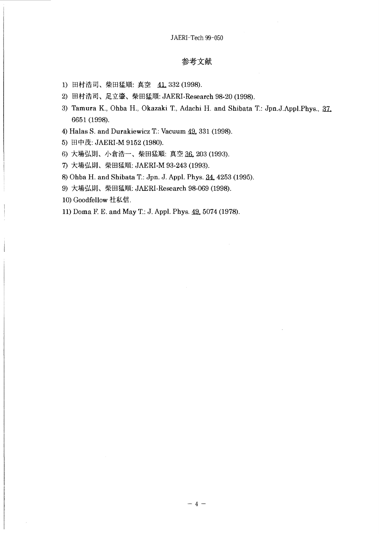### 参考文献

- 1) 田村浩司、柴田猛順: 真空 41, 332 (1998).
- 2) 田村浩司、足立肇、柴田猛順: JAERI-Research 98-20 (1998).
- 3) Tamura K., Ohba H., Okazaki T., Adachi H. and Shibata T.: Jpn.J.Appl.Phys., 37. 6651 (1998).
- 4) Halas S. and Durakiewicz T.: Vacuum 49, 331 (1998).
- 5) 田中茂: JAERI-M 9152 (1980).
- 6) 大場弘則、小倉浩一、柴田猛順: 真空 36, 203 (1993).
- 7) 大場弘則、柴田猛順: JAERI-M 93-243 (1993).
- 8) Ohba H. and Shibata T.: Jpn. J. Appl. Phys. 34, 4253 (1995).
- 9) 大場弘則、柴田猛順: JAERI-Research 98-069 (1998).
- 10) Goodfellow 社私信.
- 11) Doma F. E. and May T.: J. Appl. Phys. 49, 5074 (1978).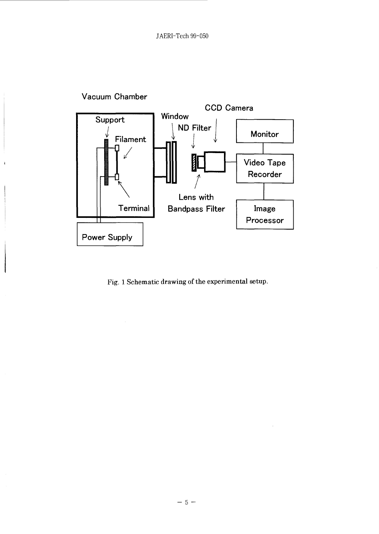

Fig. 1 Schematic drawing of the experimental setup.

 $\bar{z}$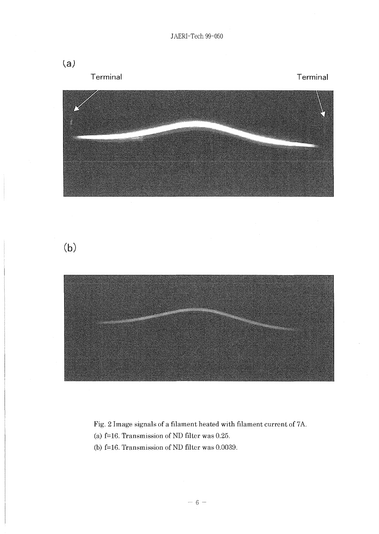







Fig. 2 Image signals of a filament heated with filament current of 7A.

- (a)  $f=16$ . Transmission of ND filter was 0.25.
- (b)  $f=16$ . Transmission of ND filter was 0.0039.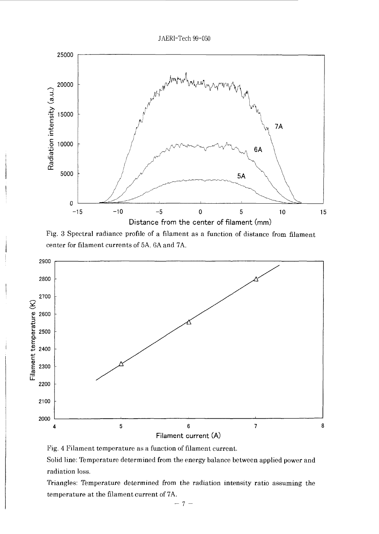



Fig. 3 Spectral radiance profile of a filament as a function of distance from filament center for filament currents of 5A, 6A and 7A.



Fig. 4 Filament temperature as a function of filament current.

Solid line: Temperature determined from the energy balance between applied power and radiation loss.

Triangles: Temperature determined from the radiation intensity ratio assuming the temperature at the filament current of 7A.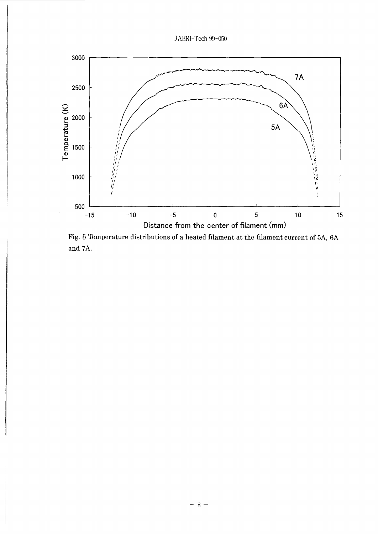



Fig. 5 Temperature distributions of a heated filament at the filament current of 5A, 6A and 7A.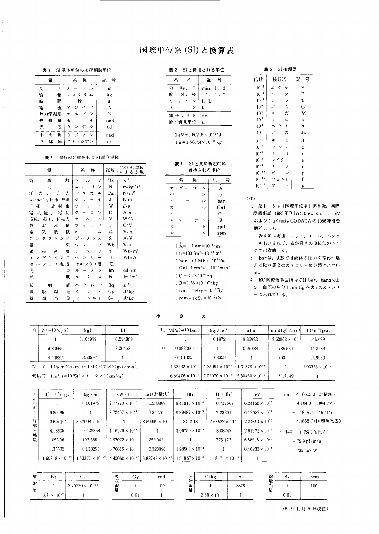## 国際単位系 (SI) と換算表

表 1 SI 基本単位および補助単位

| 뮥<br>記      | 称<br>名                                       | 를             |
|-------------|----------------------------------------------|---------------|
| m           | h<br>ル                                       | 長<br>さ        |
| kg          | ログラム                                         | 質<br>을        |
| s           | 杪                                            | 問<br>時        |
| A           |                                              | 電<br>孟        |
| K           | ビ<br>ル<br>ヶ                                  | 熱力学温度         |
| mol         | モ<br>ル                                       | 質<br>量<br>物   |
| $_{\rm cd}$ | ラ<br>ヵ<br>デ                                  | 光<br>度        |
| rad         | 5<br>$\mathcal{L}$<br>ラ<br>$\overline{\tau}$ | Ŧ.<br>角<br>đũ |
| sг          | ステラジアン                                       | 体<br>νŹ<br>角  |

#### 表 3 固有の名称をもつ SI 組立単位

| 量                                                            | 称<br>名                                  | 記号 | 他の SI 単位<br>による表現                                       |
|--------------------------------------------------------------|-----------------------------------------|----|---------------------------------------------------------|
| 馼<br>周<br>废                                                  | ッ<br>ň,                                 | Hz | $s^{-1}$                                                |
| 力                                                            | Ž<br>۲<br>$\Delta$                      | N  | $m \cdot \frac{kg}{s^2}$                                |
| Æ<br>応<br>力<br>力                                             | パ<br>ヵ<br>ル<br>ス                        | Pa | $N/m^2$                                                 |
| エネルギー, 仕事, 熱量                                                | Ÿ<br>ル<br>a,                            | J  | N·m                                                     |
| 束<br>牽<br>放<br>射<br>Т.                                       | 7<br>۲<br>$\ddot{ }$                    | W  | J/s                                                     |
| 荷<br>電<br>電気<br>量                                            | ク<br>ッ<br>$\Omega$                      | С  | $A \cdot s$                                             |
| 電圧<br>起電力<br>電位.                                             | ポ<br>ル<br>ь                             | V  | W/A                                                     |
| 静<br>容<br>量<br>電                                             | K<br>ラ<br>フ<br>$\overline{\phantom{a}}$ | F  | C/V                                                     |
| 抗<br>気<br>竃<br>抵                                             | ォ<br>A                                  | Ω  | V/A                                                     |
| D.<br>ス<br>タ<br>ン<br>Ŋ<br>ヶ                                  | ジ<br>ス<br>$\star$                       | S  | A/V                                                     |
| 磁<br>束                                                       | バ<br>ゥ<br>x                             | Wb | V s                                                     |
| 度<br>磁<br>束<br>審                                             | ラ<br>テ<br>ス                             | т  | W <sub>b</sub> /m <sup>2</sup>                          |
| $\overline{\mathcal{L}}$<br>$\mathbf{z}$<br>4<br>タ<br>ク<br>ン | I)                                      | Н  | Wb/A                                                    |
| ス温<br>度<br>セ<br>ゥ<br>ル                                       | セルシウス度                                  | °C |                                                         |
| 束<br>光                                                       | ル<br>ン<br>х                             | łm | $\mathop{\rm cd}\nolimits\cdot\mathop{\rm sr}\nolimits$ |
| 度<br>照                                                       | ス<br>ル<br>ク                             | lх | $\mathrm{Im}/\mathrm{m}^2$                              |
| 能<br>放<br>射                                                  | $\prec$<br>ク<br>$\overline{\nu}$        | Bq | $\mathbf{s}^{-1}$                                       |
| 毓<br>吸<br>線<br>収                                             | グ<br>4                                  | Gy | J/kg                                                    |
| 噕<br>当<br>綋<br>暠                                             | ベル<br>ż<br>ŀ                            | Sν | $J/\mathrm{k}$ g                                        |

#### 表2 SIと併用される単位

| 称<br>2    | 뷱<br>∄r!  |
|-----------|-----------|
| 分,時,日     | min, h, d |
| 度, 分, 秒   |           |
| ットル<br>ŋ. | 1. L      |
| к         | t.        |
| 電子ボルト     | eV        |
| 原子質量単位    | u         |

 $1 eV = 1.60218 \times 10^{-19} J$ 1 u =  $1.66054 \times 10^{-27}$  kg

#### 表4 SIと共に暫定的に 維持される単位

| 牀<br>名                      | 記   |
|-----------------------------|-----|
| オングストローム                    | Α   |
| バ<br>ン                      | b   |
| $\overline{\nu}$<br>バ       | bar |
| ٦U<br>ガ                     | Gal |
| ŋ<br>$\ast$<br>$\mathbf{I}$ | C.  |
| ゲ<br>F<br>ン<br>ン<br>v       | R   |
| K<br>ラ                      | rad |
| z.<br>Ιż                    | rem |

 $1 \stackrel{\circ}{A} = 0.1$  nm =  $10^{-10}$  m 1 b=100 fm<sup>2</sup> =  $10^{-28}$  m<sup>2</sup> 1 bar=0.1 MPa =  $10<sup>5</sup>$ Pa 1 Gal=1 cm/s<sup>2</sup> =  $10^{-2}$  m/s<sup>2</sup>  $1 \text{ Ci} = 3.7 \times 10^{10} \text{Bq}$  $1 R = 2.58 \times 10^{-4} C/kg$ 1 rad = 1 cGy =  $10^{-2}$ Gy  $1$  rem =  $1 \text{ cSv} = 10^{-2} \text{ Sv}$ 

犮

| SI 接頭語 |  |  |
|--------|--|--|

| ້<br>------     |                          |        |  |  |  |  |  |  |  |
|-----------------|--------------------------|--------|--|--|--|--|--|--|--|
| 倍数              | 接頭語                      | 믁<br>記 |  |  |  |  |  |  |  |
| $10^{18}$       | ク<br>I.<br>+             | E      |  |  |  |  |  |  |  |
| $10^{15}$       | $\frac{1}{2}$<br>ぺ       | P      |  |  |  |  |  |  |  |
| $10^{12}$       | ラ<br>$\tilde{\tau}$      | T      |  |  |  |  |  |  |  |
| 10 <sup>9</sup> | ギメ<br>ガ                  | Ġ      |  |  |  |  |  |  |  |
| 10 <sup>6</sup> | ガ                        | M      |  |  |  |  |  |  |  |
| 10 <sup>3</sup> | $\ddagger$<br>ø          | k      |  |  |  |  |  |  |  |
| 10 <sup>2</sup> | ŀ<br>$\hat{\phantom{1}}$ | h      |  |  |  |  |  |  |  |
| 10 <sup>1</sup> | $\tilde{\tau}$<br>カ      | da     |  |  |  |  |  |  |  |
| $10^{-1}$       | デ<br>ż                   | d      |  |  |  |  |  |  |  |
| $10^{-2}$       | 千<br>セ                   | c      |  |  |  |  |  |  |  |
| $10^{-3}$       | ξ<br>ı)                  | m      |  |  |  |  |  |  |  |
| $10^{-6}$       | マイク<br>ø                 | $\mu$  |  |  |  |  |  |  |  |
| $10^{-9}$       | ナ<br>ノ                   | n      |  |  |  |  |  |  |  |
| $10^{-12}$      | F,<br>Ë                  | Þ      |  |  |  |  |  |  |  |
| $10^{-15}$      | フェム<br>$\mathsf{r}$      | ſ      |  |  |  |  |  |  |  |
| $10^{-18}$      | ア<br>ト                   | a      |  |  |  |  |  |  |  |

 $(i)$ 

- 1. 表 1-5は「国際単位系」第5版,国際 度量衡局 1985年刊行による。ただし, 1 eV および1uの値は CODATA の1986年推奨 値によった。
- 2. 表4には海里, ノット, アール, ヘクタ ールも含まれているが日常の単位なのでこ こでは省略した。
- 3. barは、JISでは流体の圧力を表わす場 合に限り表2のカテゴリーに分類されてい  $50$
- 4. EC閣僚理事会指令では bar, barn およ び「血圧の単位」mmHg を表2のカテゴリ ーに入れている。

 $N (= 10<sup>5</sup> dyn)$  $f$ kgf lbf 0.101972 0.224809  $1^\circ$  $\overline{1}$ 2.20462 9.80665 4.44822 0.453592  $\mathbf{1}$ 



|   | $H$ MPa $(=10 \text{ bar})$ | kgf/cm <sup>2</sup>       | atm                               | mmHg(Torr)              | $\frac{1}{\pi}$ (psi)    |
|---|-----------------------------|---------------------------|-----------------------------------|-------------------------|--------------------------|
|   |                             | 10.1972                   | 9.86923                           | $7.50062 \times 10^{3}$ | 145.038                  |
| 力 | 0.0980665                   |                           | 0.967841                          | 735.559                 | 14.2233                  |
|   | 0.101325                    | 1.03323                   |                                   | 760                     | 14.6959                  |
|   | $1.33322 \times 10^{-4}$    | $1.35951 \times 10^{-3}$  | $1.31579 \times 10^{-3}$          |                         | $1.93368 \times 10^{-2}$ |
|   | $6.89476 \times 10^{-3}$    | $17.03070 \times 10^{-2}$ | 6.80460 $\times$ 10 <sup>-2</sup> | 51 7149                 |                          |

| $\mathbf{L}$             | $J( = 10^{7} \text{ erg})$ | kgf• m                    | kW h                      | cal(計量法)                  | Btu                       | $ft \cdot blf$            | eV                       | 1 cal = 4.18605 J (計量法 )            |
|--------------------------|----------------------------|---------------------------|---------------------------|---------------------------|---------------------------|---------------------------|--------------------------|-------------------------------------|
| ル<br>$\ddot{\mathbf{r}}$ |                            | 0.101972                  | $2.77778 \times 10^{-7}$  | 0.238889                  | $9.47813 \times 10^{-4}$  | 0.737562                  | $6.24150 \times 10^{18}$ | (熱化学)<br>$= 4.184$ J                |
|                          | 9.80665                    |                           | $2.72407 \times 10^{-6}$  | 2.34270                   | $9.29487 \times 10^{-3}$  | 7.23301                   | $6.12082 \times 10^{19}$ | $= 4.1855 \text{ J}$ (15 °C)        |
| 仕事                       | $3.6 \times 10^{6}$        | $3.67098 \times 10^{5}$   |                           | $8.59999 \times 10^{5}$   | 3412.13                   | $2.65522 \times 10^{6}$   | $2.24694 \times 10^{25}$ | = 4.1868 J (国際蒸気表)                  |
|                          | 4.18605                    | 0.426858                  | $1.16279 \times 10^{-6}$  |                           | $3.96759 \times 10^{-3}$  | 3.08747                   | $2.61272 \times 10^{19}$ | 仕事率<br>1 PS (仏馬力)                   |
| 執量                       | 1055.06                    | 107.586                   | $2.93072 \times 10^{-4}$  | 252.042                   |                           | 778.172                   | $6.58515 \times 10^{21}$ | $= 75 \text{ kgf} \cdot \text{m/s}$ |
|                          | 1.35582                    | 0.138255                  | $3.76616 \times 10^{-7}$  | 0.323890                  | $28506 \times 10^{-3}$    |                           | $8.46233 \times 10^{18}$ | $= 735.499 W$                       |
|                          | $1.60218 \times 10^{-19}$  | $1.63377 \times 10^{-20}$ | $4.45050 \times 10^{-26}$ | $3.82743 \times 10^{-20}$ | $1.51857 \times 10^{-22}$ | $1.18171 \times 10^{-19}$ |                          |                                     |
|                          |                            |                           |                           |                           |                           |                           |                          |                                     |

 $\mathbb{H}$ 

換

| 放      | Ba<br>--- --         |                           | 吸      | Gv<br>------ | rad | 照           | C/kg                  |      | 線        | -Sv  | rem |
|--------|----------------------|---------------------------|--------|--------------|-----|-------------|-----------------------|------|----------|------|-----|
| 射<br>能 |                      | $2.70270 \times 10^{-11}$ | 収<br>線 |              | 100 | 射<br>線<br>量 |                       | 3876 | NR.<br>Œ |      | 100 |
|        | $3.7 \times 10^{10}$ |                           |        | 0.01         |     |             | $2.58 \times 10^{-4}$ |      |          | 0.01 |     |